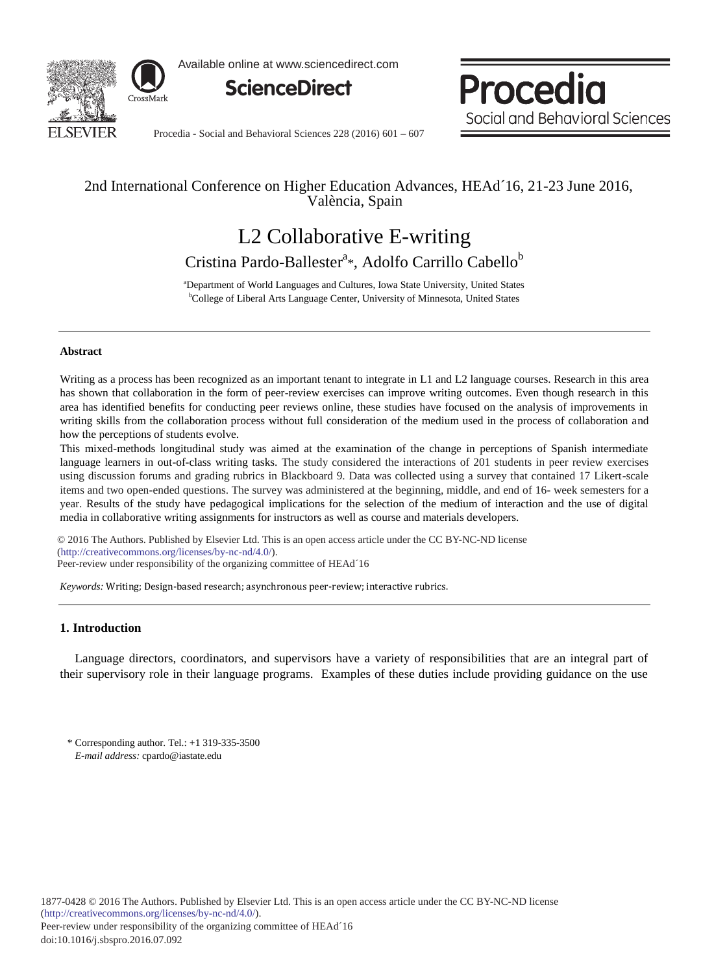

Available online at www.sciencedirect.com



Procedia Social and Behavioral Sciences

Procedia - Social and Behavioral Sciences  $228(2016)$  601 – 607

## 2nd International Conference on Higher Education Advances, HEAd´16, 21-23 June 2016, València, Spain

# L2 Collaborative E-writing Cristina Pardo-Ballester<sup>a</sup>\*, Adolfo Carrillo Cabello<sup>b</sup>

<sup>a</sup> Department of World Languages and Cultures, Iowa State University, United States b<br>College of Liberal Arts Language Center, University of Minnesota, United States <sup>b</sup>College of Liberal Arts Language Center, University of Minnesota, United States

## **Abstract**

Writing as a process has been recognized as an important tenant to integrate in L1 and L2 language courses. Research in this area has shown that collaboration in the form of peer-review exercises can improve writing outcomes. Even though research in this area has identified benefits for conducting peer reviews online, these studies have focused on the analysis of improvements in writing skills from the collaboration process without full consideration of the medium used in the process of collaboration and how the perceptions of students evolve.

This mixed-methods longitudinal study was aimed at the examination of the change in perceptions of Spanish intermediate language learners in out-of-class writing tasks. The study considered the interactions of 201 students in peer review exercises using discussion forums and grading rubrics in Blackboard 9. Data was collected using a survey that contained 17 Likert-scale items and two open-ended questions. The survey was administered at the beginning, middle, and end of 16- week semesters for a year. Results of the study have pedagogical implications for the selection of the medium of interaction and the use of digital media in collaborative writing assignments for instructors as well as course and materials developers.

© 2016 The Authors. Published by Elsevier Ltd. (http://creativecommons.org/licenses/by-nc-nd/4.0/). Peer-review under responsibility of the organizing committee of HEAd´16. Peer-review under responsibility of the organizing committee of HEAd´16© 2016 The Authors. Published by Elsevier Ltd. This is an open access article under the CC BY-NC-ND license

*Keywords:* Writing; Design-based research; asynchronous peer-review; interactive rubrics.

## **1. Introduction**

Language directors, coordinators, and supervisors have a variety of responsibilities that are an integral part of their supervisory role in their language programs. Examples of these duties include providing guidance on the use

\* Corresponding author. Tel.: +1 319-335-3500 *E-mail address:* cpardo@iastate.edu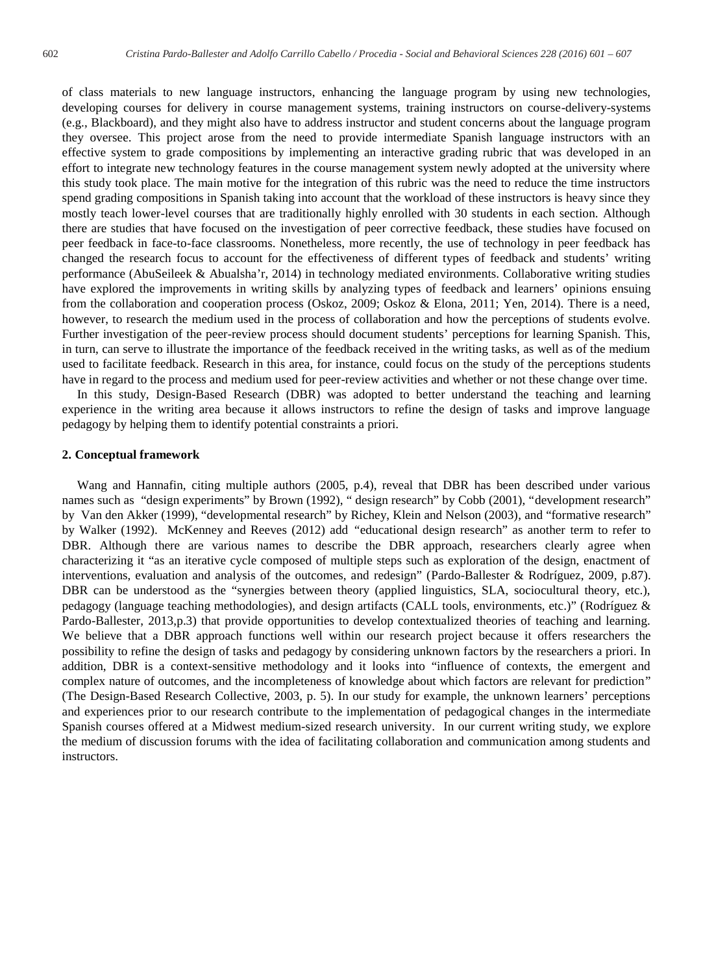of class materials to new language instructors, enhancing the language program by using new technologies, developing courses for delivery in course management systems, training instructors on course-delivery-systems (e.g., Blackboard), and they might also have to address instructor and student concerns about the language program they oversee. This project arose from the need to provide intermediate Spanish language instructors with an effective system to grade compositions by implementing an interactive grading rubric that was developed in an effort to integrate new technology features in the course management system newly adopted at the university where this study took place. The main motive for the integration of this rubric was the need to reduce the time instructors spend grading compositions in Spanish taking into account that the workload of these instructors is heavy since they mostly teach lower-level courses that are traditionally highly enrolled with 30 students in each section. Although there are studies that have focused on the investigation of peer corrective feedback, these studies have focused on peer feedback in face-to-face classrooms. Nonetheless, more recently, the use of technology in peer feedback has changed the research focus to account for the effectiveness of different types of feedback and students' writing performance (AbuSeileek & Abualsha'r, 2014) in technology mediated environments. Collaborative writing studies have explored the improvements in writing skills by analyzing types of feedback and learners' opinions ensuing from the collaboration and cooperation process (Oskoz, 2009; Oskoz & Elona, 2011; Yen, 2014). There is a need, however, to research the medium used in the process of collaboration and how the perceptions of students evolve. Further investigation of the peer-review process should document students' perceptions for learning Spanish. This, in turn, can serve to illustrate the importance of the feedback received in the writing tasks, as well as of the medium used to facilitate feedback. Research in this area, for instance, could focus on the study of the perceptions students have in regard to the process and medium used for peer-review activities and whether or not these change over time.

In this study, Design-Based Research (DBR) was adopted to better understand the teaching and learning experience in the writing area because it allows instructors to refine the design of tasks and improve language pedagogy by helping them to identify potential constraints a priori.

## **2. Conceptual framework**

Wang and Hannafin, citing multiple authors (2005, p.4), reveal that DBR has been described under various names such as "design experiments" by Brown (1992), " design research" by Cobb (2001), "development research" by Van den Akker (1999), "developmental research" by Richey, Klein and Nelson (2003), and "formative research" by Walker (1992). McKenney and Reeves (2012) add *"*educational design research" as another term to refer to DBR. Although there are various names to describe the DBR approach, researchers clearly agree when characterizing it "as an iterative cycle composed of multiple steps such as exploration of the design, enactment of interventions, evaluation and analysis of the outcomes, and redesign" (Pardo-Ballester & Rodríguez, 2009, p.87). DBR can be understood as the "synergies between theory (applied linguistics, SLA, sociocultural theory, etc.), pedagogy (language teaching methodologies), and design artifacts (CALL tools, environments, etc.)" (Rodríguez & Pardo-Ballester, 2013,p.3) that provide opportunities to develop contextualized theories of teaching and learning. We believe that a DBR approach functions well within our research project because it offers researchers the possibility to refine the design of tasks and pedagogy by considering unknown factors by the researchers a priori. In addition, DBR is a context-sensitive methodology and it looks into "influence of contexts, the emergent and complex nature of outcomes, and the incompleteness of knowledge about which factors are relevant for prediction" (The Design-Based Research Collective, 2003, p. 5). In our study for example, the unknown learners' perceptions and experiences prior to our research contribute to the implementation of pedagogical changes in the intermediate Spanish courses offered at a Midwest medium-sized research university. In our current writing study, we explore the medium of discussion forums with the idea of facilitating collaboration and communication among students and instructors.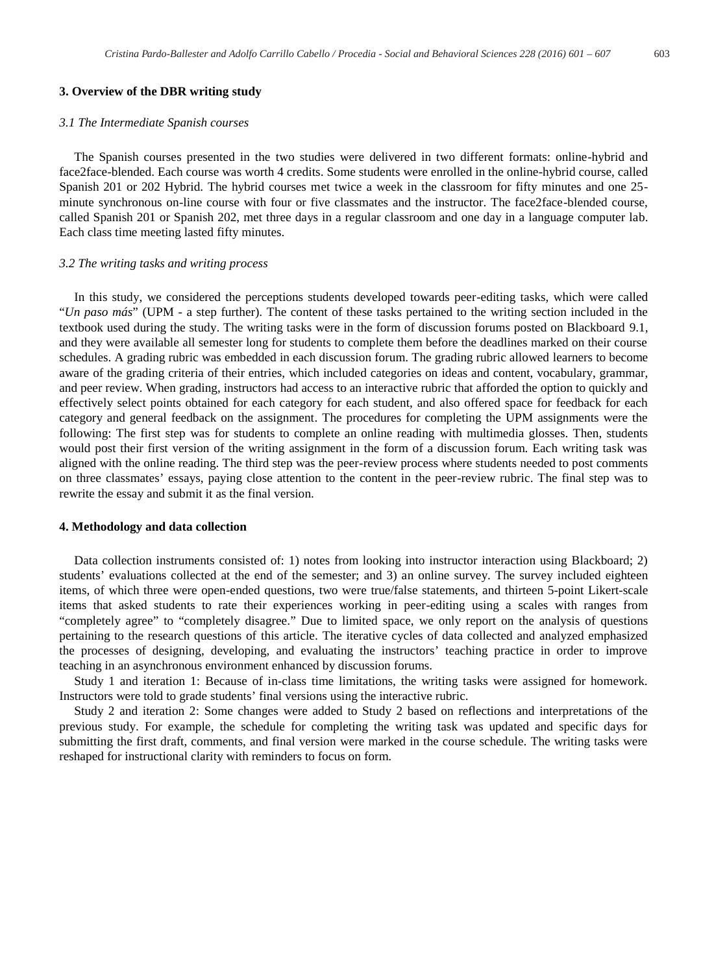## **3. Overview of the DBR writing study**

## *3.1 The Intermediate Spanish courses*

The Spanish courses presented in the two studies were delivered in two different formats: online-hybrid and face2face-blended. Each course was worth 4 credits. Some students were enrolled in the online-hybrid course, called Spanish 201 or 202 Hybrid. The hybrid courses met twice a week in the classroom for fifty minutes and one 25 minute synchronous on-line course with four or five classmates and the instructor. The face2face-blended course, called Spanish 201 or Spanish 202, met three days in a regular classroom and one day in a language computer lab. Each class time meeting lasted fifty minutes.

## *3.2 The writing tasks and writing process*

In this study, we considered the perceptions students developed towards peer-editing tasks, which were called "*Un paso más*" (UPM - a step further). The content of these tasks pertained to the writing section included in the textbook used during the study. The writing tasks were in the form of discussion forums posted on Blackboard 9.1, and they were available all semester long for students to complete them before the deadlines marked on their course schedules. A grading rubric was embedded in each discussion forum. The grading rubric allowed learners to become aware of the grading criteria of their entries, which included categories on ideas and content, vocabulary, grammar, and peer review. When grading, instructors had access to an interactive rubric that afforded the option to quickly and effectively select points obtained for each category for each student, and also offered space for feedback for each category and general feedback on the assignment. The procedures for completing the UPM assignments were the following: The first step was for students to complete an online reading with multimedia glosses. Then, students would post their first version of the writing assignment in the form of a discussion forum. Each writing task was aligned with the online reading. The third step was the peer-review process where students needed to post comments on three classmates' essays, paying close attention to the content in the peer-review rubric. The final step was to rewrite the essay and submit it as the final version.

## **4. Methodology and data collection**

Data collection instruments consisted of: 1) notes from looking into instructor interaction using Blackboard; 2) students' evaluations collected at the end of the semester; and 3) an online survey. The survey included eighteen items, of which three were open-ended questions, two were true/false statements, and thirteen 5-point Likert-scale items that asked students to rate their experiences working in peer-editing using a scales with ranges from "completely agree" to "completely disagree." Due to limited space, we only report on the analysis of questions pertaining to the research questions of this article. The iterative cycles of data collected and analyzed emphasized the processes of designing, developing, and evaluating the instructors' teaching practice in order to improve teaching in an asynchronous environment enhanced by discussion forums.

Study 1 and iteration 1: Because of in-class time limitations, the writing tasks were assigned for homework. Instructors were told to grade students' final versions using the interactive rubric.

Study 2 and iteration 2: Some changes were added to Study 2 based on reflections and interpretations of the previous study. For example, the schedule for completing the writing task was updated and specific days for submitting the first draft, comments, and final version were marked in the course schedule. The writing tasks were reshaped for instructional clarity with reminders to focus on form.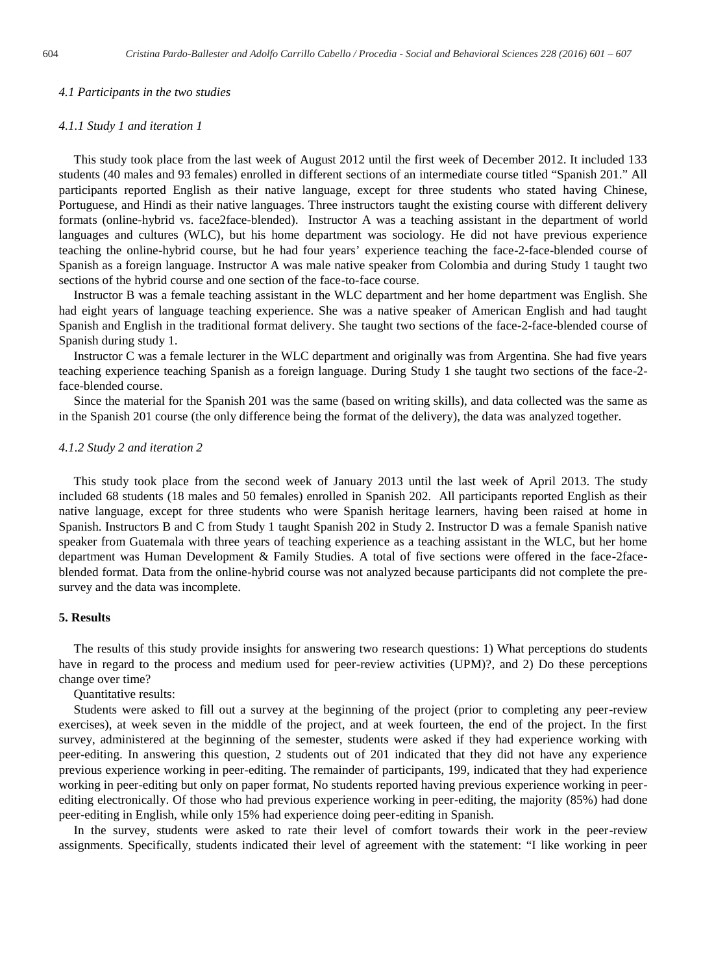#### *4.1 Participants in the two studies*

#### *4.1.1 Study 1 and iteration 1*

This study took place from the last week of August 2012 until the first week of December 2012. It included 133 students (40 males and 93 females) enrolled in different sections of an intermediate course titled "Spanish 201." All participants reported English as their native language, except for three students who stated having Chinese, Portuguese, and Hindi as their native languages. Three instructors taught the existing course with different delivery formats (online-hybrid vs. face2face-blended). Instructor A was a teaching assistant in the department of world languages and cultures (WLC), but his home department was sociology. He did not have previous experience teaching the online-hybrid course, but he had four years' experience teaching the face-2-face-blended course of Spanish as a foreign language. Instructor A was male native speaker from Colombia and during Study 1 taught two sections of the hybrid course and one section of the face-to-face course.

Instructor B was a female teaching assistant in the WLC department and her home department was English. She had eight years of language teaching experience. She was a native speaker of American English and had taught Spanish and English in the traditional format delivery. She taught two sections of the face-2-face-blended course of Spanish during study 1.

Instructor C was a female lecturer in the WLC department and originally was from Argentina. She had five years teaching experience teaching Spanish as a foreign language. During Study 1 she taught two sections of the face-2 face-blended course.

Since the material for the Spanish 201 was the same (based on writing skills), and data collected was the same as in the Spanish 201 course (the only difference being the format of the delivery), the data was analyzed together.

## *4.1.2 Study 2 and iteration 2*

This study took place from the second week of January 2013 until the last week of April 2013. The study included 68 students (18 males and 50 females) enrolled in Spanish 202. All participants reported English as their native language, except for three students who were Spanish heritage learners, having been raised at home in Spanish. Instructors B and C from Study 1 taught Spanish 202 in Study 2. Instructor D was a female Spanish native speaker from Guatemala with three years of teaching experience as a teaching assistant in the WLC, but her home department was Human Development & Family Studies. A total of five sections were offered in the face-2faceblended format. Data from the online-hybrid course was not analyzed because participants did not complete the presurvey and the data was incomplete.

#### **5. Results**

The results of this study provide insights for answering two research questions: 1) What perceptions do students have in regard to the process and medium used for peer-review activities (UPM)?, and 2) Do these perceptions change over time?

Quantitative results:

Students were asked to fill out a survey at the beginning of the project (prior to completing any peer-review exercises), at week seven in the middle of the project, and at week fourteen, the end of the project. In the first survey, administered at the beginning of the semester, students were asked if they had experience working with peer-editing. In answering this question, 2 students out of 201 indicated that they did not have any experience previous experience working in peer-editing. The remainder of participants, 199, indicated that they had experience working in peer-editing but only on paper format, No students reported having previous experience working in peerediting electronically. Of those who had previous experience working in peer-editing, the majority (85%) had done peer-editing in English, while only 15% had experience doing peer-editing in Spanish.

In the survey, students were asked to rate their level of comfort towards their work in the peer-review assignments. Specifically, students indicated their level of agreement with the statement: "I like working in peer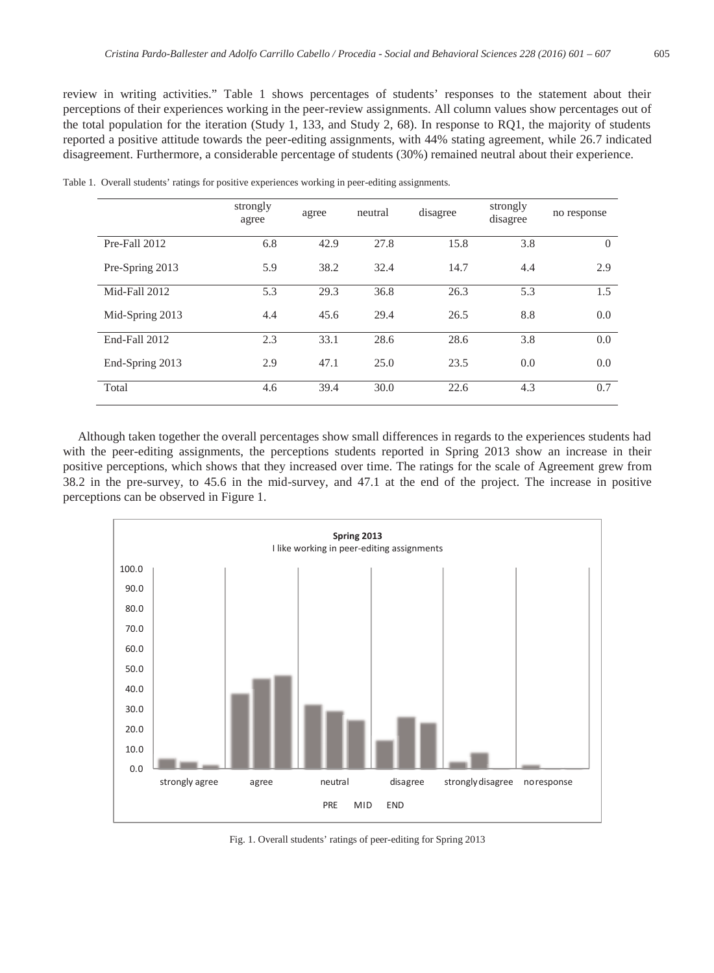review in writing activities." Table 1 shows percentages of students' responses to the statement about their perceptions of their experiences working in the peer-review assignments. All column values show percentages out of the total population for the iteration (Study 1, 133, and Study 2, 68). In response to RQ1, the majority of students reported a positive attitude towards the peer-editing assignments, with 44% stating agreement, while 26.7 indicated disagreement. Furthermore, a considerable percentage of students (30%) remained neutral about their experience.

|                 | strongly<br>agree | agree | neutral | disagree | strongly<br>disagree | no response |
|-----------------|-------------------|-------|---------|----------|----------------------|-------------|
| Pre-Fall 2012   | 6.8               | 42.9  | 27.8    | 15.8     | 3.8                  | $\Omega$    |
| Pre-Spring 2013 | 5.9               | 38.2  | 32.4    | 14.7     | 4.4                  | 2.9         |
| Mid-Fall 2012   | 5.3               | 29.3  | 36.8    | 26.3     | 5.3                  | 1.5         |
| Mid-Spring 2013 | 4.4               | 45.6  | 29.4    | 26.5     | 8.8                  | 0.0         |
| End-Fall 2012   | 2.3               | 33.1  | 28.6    | 28.6     | 3.8                  | 0.0         |
| End-Spring 2013 | 2.9               | 47.1  | 25.0    | 23.5     | 0.0                  | 0.0         |
| Total           | 4.6               | 39.4  | 30.0    | 22.6     | 4.3                  | 0.7         |

Table 1. Overall students' ratings for positive experiences working in peer-editing assignments.

Although taken together the overall percentages show small differences in regards to the experiences students had with the peer-editing assignments, the perceptions students reported in Spring 2013 show an increase in their positive perceptions, which shows that they increased over time. The ratings for the scale of Agreement grew from 38.2 in the pre-survey, to 45.6 in the mid-survey, and 47.1 at the end of the project. The increase in positive perceptions can be observed in Figure 1.



Fig. 1. Overall students' ratings of peer-editing for Spring 2013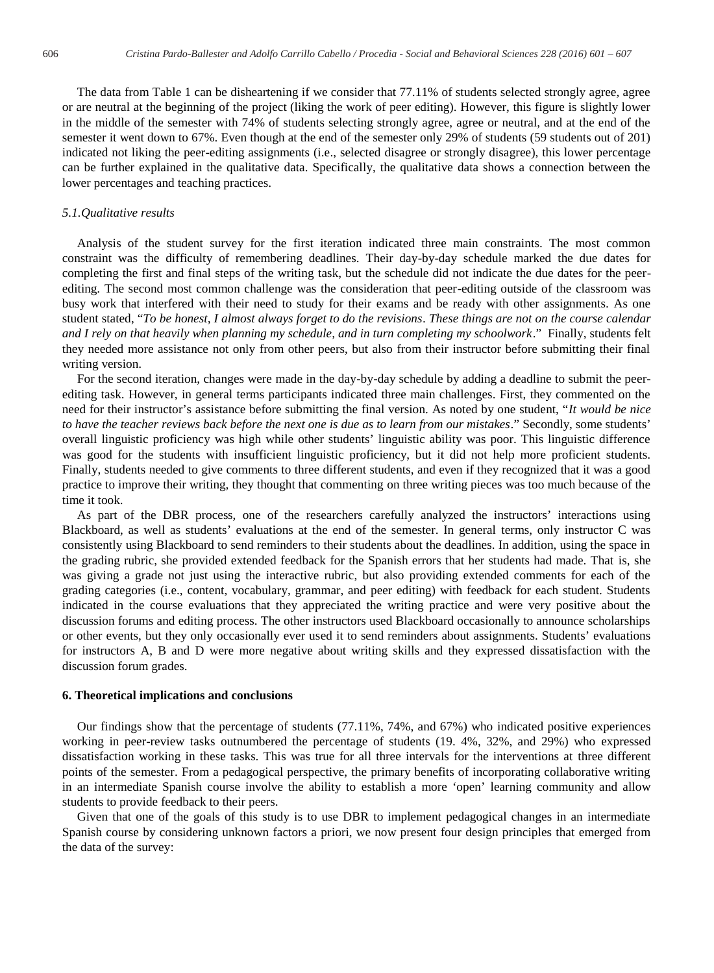The data from Table 1 can be disheartening if we consider that 77.11% of students selected strongly agree, agree or are neutral at the beginning of the project (liking the work of peer editing). However, this figure is slightly lower in the middle of the semester with 74% of students selecting strongly agree, agree or neutral, and at the end of the semester it went down to 67%. Even though at the end of the semester only 29% of students (59 students out of 201) indicated not liking the peer-editing assignments (i.e., selected disagree or strongly disagree), this lower percentage can be further explained in the qualitative data. Specifically, the qualitative data shows a connection between the lower percentages and teaching practices.

#### *5.1.Qualitative results*

Analysis of the student survey for the first iteration indicated three main constraints. The most common constraint was the difficulty of remembering deadlines. Their day-by-day schedule marked the due dates for completing the first and final steps of the writing task, but the schedule did not indicate the due dates for the peerediting. The second most common challenge was the consideration that peer-editing outside of the classroom was busy work that interfered with their need to study for their exams and be ready with other assignments. As one student stated, "*To be honest, I almost always forget to do the revisions*. *These things are not on the course calendar and I rely on that heavily when planning my schedule, and in turn completing my schoolwork*." Finally, students felt they needed more assistance not only from other peers, but also from their instructor before submitting their final writing version.

For the second iteration, changes were made in the day-by-day schedule by adding a deadline to submit the peerediting task. However, in general terms participants indicated three main challenges. First, they commented on the need for their instructor's assistance before submitting the final version. As noted by one student, "*It would be nice to have the teacher reviews back before the next one is due as to learn from our mistakes*." Secondly, some students' overall linguistic proficiency was high while other students' linguistic ability was poor. This linguistic difference was good for the students with insufficient linguistic proficiency, but it did not help more proficient students. Finally, students needed to give comments to three different students, and even if they recognized that it was a good practice to improve their writing, they thought that commenting on three writing pieces was too much because of the time it took.

As part of the DBR process, one of the researchers carefully analyzed the instructors' interactions using Blackboard, as well as students' evaluations at the end of the semester. In general terms, only instructor C was consistently using Blackboard to send reminders to their students about the deadlines. In addition, using the space in the grading rubric, she provided extended feedback for the Spanish errors that her students had made. That is, she was giving a grade not just using the interactive rubric, but also providing extended comments for each of the grading categories (i.e., content, vocabulary, grammar, and peer editing) with feedback for each student. Students indicated in the course evaluations that they appreciated the writing practice and were very positive about the discussion forums and editing process. The other instructors used Blackboard occasionally to announce scholarships or other events, but they only occasionally ever used it to send reminders about assignments. Students' evaluations for instructors A, B and D were more negative about writing skills and they expressed dissatisfaction with the discussion forum grades.

#### **6. Theoretical implications and conclusions**

Our findings show that the percentage of students (77.11%, 74%, and 67%) who indicated positive experiences working in peer-review tasks outnumbered the percentage of students (19. 4%, 32%, and 29%) who expressed dissatisfaction working in these tasks. This was true for all three intervals for the interventions at three different points of the semester. From a pedagogical perspective, the primary benefits of incorporating collaborative writing in an intermediate Spanish course involve the ability to establish a more 'open' learning community and allow students to provide feedback to their peers.

Given that one of the goals of this study is to use DBR to implement pedagogical changes in an intermediate Spanish course by considering unknown factors a priori, we now present four design principles that emerged from the data of the survey: